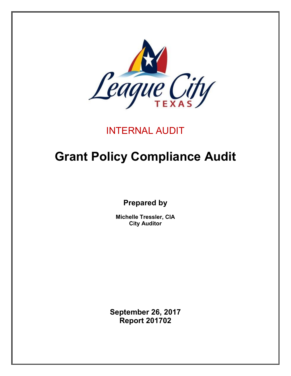

# INTERNAL AUDIT

# **Grant Policy Compliance Audit**

**Prepared by**

**Michelle Tressler, CIA City Auditor**

**September 26, 2017 Report 201702**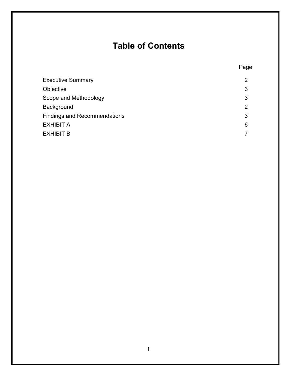# **Table of Contents**

Page

| <b>Executive Summary</b>            | $\overline{2}$ |
|-------------------------------------|----------------|
| Objective                           | 3              |
| Scope and Methodology               | 3              |
| Background                          | $\overline{2}$ |
| <b>Findings and Recommendations</b> | 3              |
| EXHIBIT A                           | 6              |
| EXHIBIT B                           | 7              |
|                                     |                |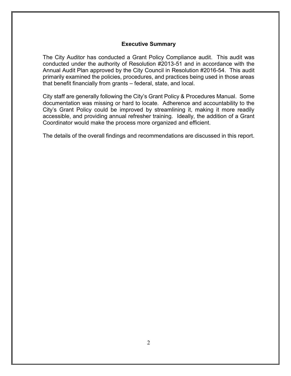#### **Executive Summary**

<span id="page-2-0"></span>The City Auditor has conducted a Grant Policy Compliance audit. This audit was conducted under the authority of Resolution #2013-51 and in accordance with the Annual Audit Plan approved by the City Council in Resolution #2016-54. This audit primarily examined the policies, procedures, and practices being used in those areas that benefit financially from grants – federal, state, and local.

City staff are generally following the City's Grant Policy & Procedures Manual. Some documentation was missing or hard to locate. Adherence and accountability to the City's Grant Policy could be improved by streamlining it, making it more readily accessible, and providing annual refresher training. Ideally, the addition of a Grant Coordinator would make the process more organized and efficient.

The details of the overall findings and recommendations are discussed in this report.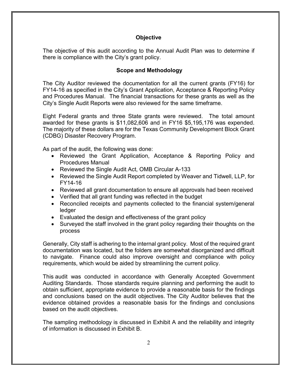#### **Objective**

<span id="page-3-0"></span>The objective of this audit according to the Annual Audit Plan was to determine if there is compliance with the City's grant policy.

#### <span id="page-3-1"></span>**Scope and Methodology**

The City Auditor reviewed the documentation for all the current grants (FY16) for FY14-16 as specified in the City's Grant Application, Acceptance & Reporting Policy and Procedures Manual. The financial transactions for these grants as well as the City's Single Audit Reports were also reviewed for the same timeframe.

Eight Federal grants and three State grants were reviewed. The total amount awarded for these grants is \$11,082,606 and in FY16 \$5,195,176 was expended. The majority of these dollars are for the Texas Community Development Block Grant (CDBG) Disaster Recovery Program.

As part of the audit, the following was done:

- Reviewed the Grant Application, Acceptance & Reporting Policy and Procedures Manual
- Reviewed the Single Audit Act, OMB Circular A-133
- Reviewed the Single Audit Report completed by Weaver and Tidwell, LLP, for FY14-16
- Reviewed all grant documentation to ensure all approvals had been received
- Verified that all grant funding was reflected in the budget
- Reconciled receipts and payments collected to the financial system/general ledger
- Evaluated the design and effectiveness of the grant policy
- Surveyed the staff involved in the grant policy regarding their thoughts on the process

Generally, City staff is adhering to the internal grant policy. Most of the required grant documentation was located, but the folders are somewhat disorganized and difficult to navigate. Finance could also improve oversight and compliance with policy requirements, which would be aided by streamlining the current policy.

This audit was conducted in accordance with Generally Accepted Government Auditing Standards. Those standards require planning and performing the audit to obtain sufficient, appropriate evidence to provide a reasonable basis for the findings and conclusions based on the audit objectives. The City Auditor believes that the evidence obtained provides a reasonable basis for the findings and conclusions based on the audit objectives.

The sampling methodology is discussed in Exhibit A and the reliability and integrity of information is discussed in Exhibit B.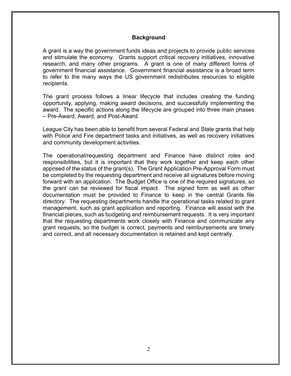#### **Background**

<span id="page-4-0"></span>A grant is a way the government funds ideas and projects to provide public services and stimulate the economy. Grants support critical recovery initiatives, innovative research, and many other programs. A grant is one of many different forms of government financial assistance. Government financial assistance is a broad term to refer to the many ways the US government redistributes resources to eligible recipients.

The grant process follows a linear lifecycle that includes creating the funding opportunity, applying, making award decisions, and successfully implementing the award. The specific actions along the lifecycle are grouped into three main phases – Pre-Award, Award, and Post-Award.

League City has been able to benefit from several Federal and State grants that help with Police and Fire department tasks and initiatives, as well as recovery initiatives and community development activities.

The operational/requesting department and Finance have distinct roles and responsibilities, but it is important that they work together and keep each other apprised of the status of the grant(s). The Grant Application Pre-Approval Form must be completed by the requesting department and receive all signatures before moving forward with an application. The Budget Office is one of the required signatures, so the grant can be reviewed for fiscal impact. The signed form as well as other documentation must be provided to Finance to keep in the central Grants file directory. The requesting departments handle the operational tasks related to grant management, such as grant application and reporting. Finance will assist with the financial pieces, such as budgeting and reimbursement requests. It is very important that the requesting departments work closely with Finance and communicate any grant requests, so the budget is correct, payments and reimbursements are timely and correct, and all necessary documentation is retained and kept centrally.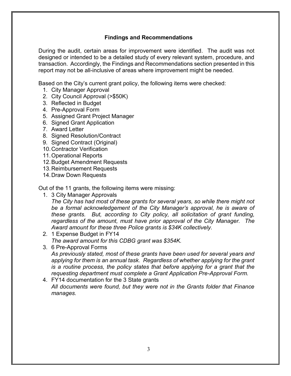### **Findings and Recommendations**

<span id="page-5-0"></span>During the audit, certain areas for improvement were identified. The audit was not designed or intended to be a detailed study of every relevant system, procedure, and transaction. Accordingly, the Findings and Recommendations section presented in this report may not be all-inclusive of areas where improvement might be needed.

Based on the City's current grant policy, the following items were checked:

- 1. City Manager Approval
- 2. City Council Approval (>\$50K)
- 3. Reflected in Budget
- 4. Pre-Approval Form
- 5. Assigned Grant Project Manager
- 6. Signed Grant Application
- 7. Award Letter
- 8. Signed Resolution/Contract
- 9. Signed Contract (Original)
- 10.Contractor Verification
- 11.Operational Reports
- 12.Budget Amendment Requests
- 13.Reimbursement Requests
- 14.Draw Down Requests

Out of the 11 grants, the following items were missing:

1. 3 City Manager Approvals

*The City has had most of these grants for several years, so while there might not be a formal acknowledgement of the City Manager's approval, he is aware of these grants. But, according to City policy, all solicitation of grant funding, regardless of the amount, must have prior approval of the City Manager. The Award amount for these three Police grants is \$34K collectively.*

- 2. 1 Expense Budget in FY14 *The award amount for this CDBG grant was \$354K.*
- 3. 6 Pre-Approval Forms

*As previously stated, most of these grants have been used for several years and applying for them is an annual task. Regardless of whether applying for the grant is a routine process, the policy states that before applying for a grant that the requesting department must complete a Grant Application Pre-Approval Form.* 

4. FY14 documentation for the 3 State grants *All documents were found, but they were not in the Grants folder that Finance manages.*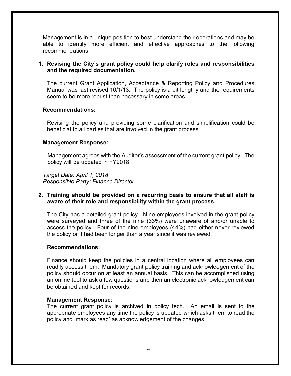Management is in a unique position to best understand their operations and may be able to identify more efficient and effective approaches to the following recommendations:

#### **1. Revising the City's grant policy could help clarify roles and responsibilities and the required documentation.**

The current Grant Application, Acceptance & Reporting Policy and Procedures Manual was last revised 10/1/13. The policy is a bit lengthy and the requirements seem to be more robust than necessary in some areas.

#### **Recommendations:**

Revising the policy and providing some clarification and simplification could be beneficial to all parties that are involved in the grant process.

#### **Management Response:**

 Management agrees with the Auditor's assessment of the current grant policy. The policy will be updated in FY2018.

*Target Date: April 1, 2018 Responsible Party: Finance Director*

#### **2. Training should be provided on a recurring basis to ensure that all staff is aware of their role and responsibility within the grant process.**

The City has a detailed grant policy. Nine employees involved in the grant policy were surveyed and three of the nine (33%) were unaware of and/or unable to access the policy. Four of the nine employees (44%) had either never reviewed the policy or it had been longer than a year since it was reviewed.

#### **Recommendations:**

Finance should keep the policies in a central location where all employees can readily access them. Mandatory grant policy training and acknowledgement of the policy should occur on at least an annual basis. This can be accomplished using an online tool to ask a few questions and then an electronic acknowledgement can be obtained and kept for records.

#### **Management Response:**

The current grant policy is archived in policy tech. An email is sent to the appropriate employees any time the policy is updated which asks them to read the policy and 'mark as read' as acknowledgement of the changes.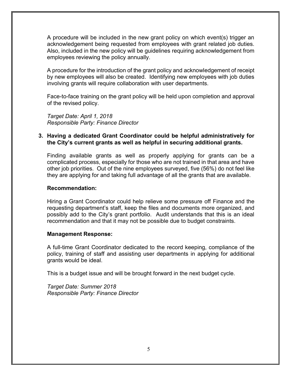A procedure will be included in the new grant policy on which event(s) trigger an acknowledgement being requested from employees with grant related job duties. Also, included in the new policy will be guidelines requiring acknowledgement from employees reviewing the policy annually.

A procedure for the introduction of the grant policy and acknowledgement of receipt by new employees will also be created. Identifying new employees with job duties involving grants will require collaboration with user departments.

Face-to-face training on the grant policy will be held upon completion and approval of the revised policy.

*Target Date: April 1, 2018 Responsible Party: Finance Director*

#### **3. Having a dedicated Grant Coordinator could be helpful administratively for the City's current grants as well as helpful in securing additional grants.**

Finding available grants as well as properly applying for grants can be a complicated process, especially for those who are not trained in that area and have other job priorities. Out of the nine employees surveyed, five (56%) do not feel like they are applying for and taking full advantage of all the grants that are available.

#### **Recommendation:**

Hiring a Grant Coordinator could help relieve some pressure off Finance and the requesting department's staff, keep the files and documents more organized, and possibly add to the City's grant portfolio. Audit understands that this is an ideal recommendation and that it may not be possible due to budget constraints.

#### **Management Response:**

A full-time Grant Coordinator dedicated to the record keeping, compliance of the policy, training of staff and assisting user departments in applying for additional grants would be ideal.

This is a budget issue and will be brought forward in the next budget cycle.

*Target Date: Summer 2018 Responsible Party: Finance Director*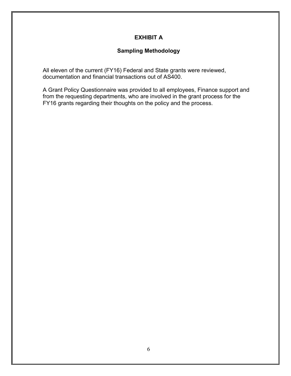# **EXHIBIT A**

## **Sampling Methodology**

<span id="page-8-0"></span>All eleven of the current (FY16) Federal and State grants were reviewed, documentation and financial transactions out of AS400.

A Grant Policy Questionnaire was provided to all employees, Finance support and from the requesting departments, who are involved in the grant process for the FY16 grants regarding their thoughts on the policy and the process.